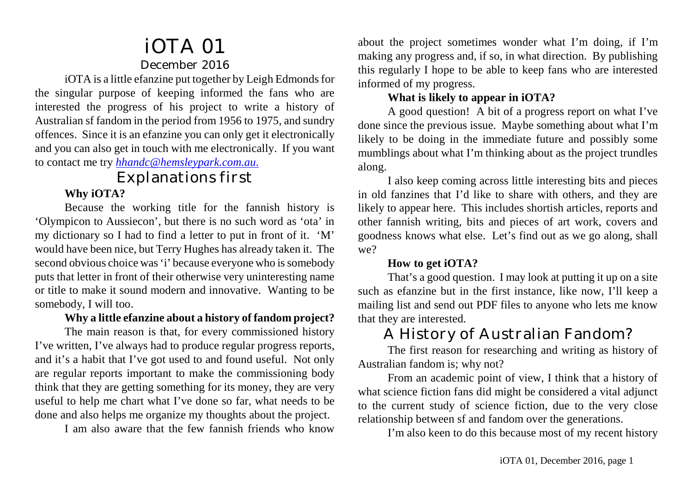# iOTA 01 December 2016

iOTA is a little efanzine put together by Leigh Edmonds for the singular purpose of keeping informed the fans who are interested the progress of his project to write a history of Australian sf fandom in the period from 1956 to 1975, and sundry offences. Since it is an efanzine you can only get it electronically and you can also get in touch with me electronically. If you want to contact me try *[hhandc@hemsleypark.com.au](mailto:hhandc@hemsleypark.com.au.)*.

# Explanations first

## **Why iOTA?**

Because the working title for the fannish history is 'Olympicon to Aussiecon', but there is no such word as 'ota' in my dictionary so I had to find a letter to put in front of it. 'M' would have been nice, but Terry Hughes has already taken it. The second obvious choice was 'i' because everyone who is somebody puts that letter in front of their otherwise very uninteresting name or title to make it sound modern and innovative. Wanting to be somebody, I will too.

### **Why a little efanzine about a history of fandom project?**

The main reason is that, for every commissioned history I've written, I've always had to produce regular progress reports, and it's a habit that I've got used to and found useful. Not only are regular reports important to make the commissioning body think that they are getting something for its money, they are very useful to help me chart what I've done so far, what needs to be done and also helps me organize my thoughts about the project.

I am also aware that the few fannish friends who know

about the project sometimes wonder what I'm doing, if I'm making any progress and, if so, in what direction. By publishing this regularly I hope to be able to keep fans who are interested informed of my progress.

## **What is likely to appear in iOTA?**

A good question! A bit of a progress report on what I've done since the previous issue. Maybe something about what I'm likely to be doing in the immediate future and possibly some mumblings about what I'm thinking about as the project trundles along.

I also keep coming across little interesting bits and pieces in old fanzines that I'd like to share with others, and they are likely to appear here. This includes shortish articles, reports and other fannish writing, bits and pieces of art work, covers and goodness knows what else. Let's find out as we go along, shall we?

#### **How to get iOTA?**

That's a good question. I may look at putting it up on a site such as efanzine but in the first instance, like now, I'll keep a mailing list and send out PDF files to anyone who lets me know that they are interested.

# A History of Australian Fandom?

The first reason for researching and writing as history of Australian fandom is; why not?

From an academic point of view, I think that a history of what science fiction fans did might be considered a vital adjunct to the current study of science fiction, due to the very close relationship between sf and fandom over the generations.

I'm also keen to do this because most of my recent history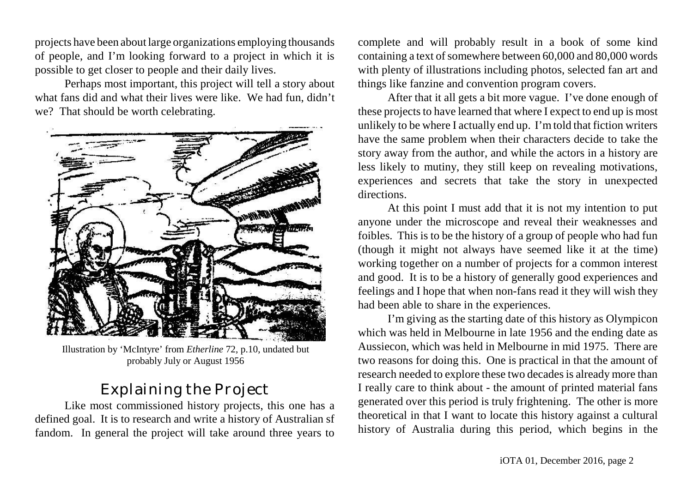projects have been about large organizations employing thousands of people, and I'm looking forward to a project in which it is possible to get closer to people and their daily lives.

Perhaps most important, this project will tell a story about what fans did and what their lives were like. We had fun, didn't we? That should be worth celebrating.



Illustration by 'McIntyre' from *Etherline* 72, p.10, undated but probably July or August 1956

# Explaining the Project

Like most commissioned history projects, this one has a defined goal. It is to research and write a history of Australian sf fandom. In general the project will take around three years to

complete and will probably result in a book of some kind containing a text of somewhere between 60,000 and 80,000 words with plenty of illustrations including photos, selected fan art and things like fanzine and convention program covers.

After that it all gets a bit more vague. I've done enough of these projects to have learned that where I expect to end up is most unlikely to be where I actually end up. I'm told that fiction writers have the same problem when their characters decide to take the story away from the author, and while the actors in a history are less likely to mutiny, they still keep on revealing motivations, experiences and secrets that take the story in unexpected directions.

At this point I must add that it is not my intention to put anyone under the microscope and reveal their weaknesses and foibles. This is to be the history of a group of people who had fun (though it might not always have seemed like it at the time) working together on a number of projects for a common interest and good. It is to be a history of generally good experiences and feelings and I hope that when non-fans read it they will wish they had been able to share in the experiences.

I'm giving as the starting date of this history as Olympicon which was held in Melbourne in late 1956 and the ending date as Aussiecon, which was held in Melbourne in mid 1975. There are two reasons for doing this. One is practical in that the amount of research needed to explore these two decades is already more than I really care to think about - the amount of printed material fans generated over this period is truly frightening. The other is more theoretical in that I want to locate this history against a cultural history of Australia during this period, which begins in the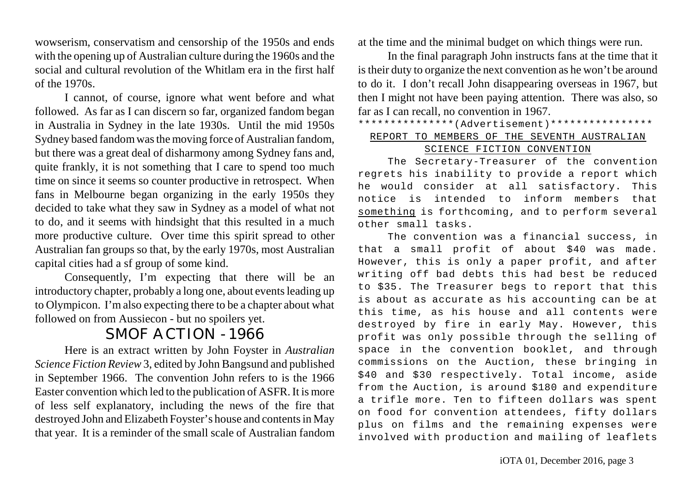wowserism, conservatism and censorship of the 1950s and ends with the opening up of Australian culture during the 1960s and the social and cultural revolution of the Whitlam era in the first half of the 1970s.

I cannot, of course, ignore what went before and what followed. As far as I can discern so far, organized fandom began in Australia in Sydney in the late 1930s. Until the mid 1950s Sydney based fandomwasthe moving force of Australian fandom, but there was a great deal of disharmony among Sydney fans and, quite frankly, it is not something that I care to spend too much time on since it seems so counter productive in retrospect. When fans in Melbourne began organizing in the early 1950s they decided to take what they saw in Sydney as a model of what not to do, and it seems with hindsight that this resulted in a much more productive culture. Over time this spirit spread to other Australian fan groups so that, by the early 1970s, most Australian capital cities had a sf group of some kind.

Consequently, I'm expecting that there will be an introductory chapter, probably a long one, about events leading up to Olympicon. I'm also expecting there to be a chapter about what followed on from Aussiecon - but no spoilers yet.

## SMOF ACTION - 1966

Here is an extract written by John Foyster in *Australian Science Fiction Review* 3, edited by John Bangsund and published in September 1966. The convention John refers to is the 1966 Easter convention which led to the publication of ASFR. It is more of less self explanatory, including the news of the fire that destroyed John and Elizabeth Foyster's house and contentsin May that year. It is a reminder of the small scale of Australian fandom

at the time and the minimal budget on which things were run.

In the final paragraph John instructs fans at the time that it istheir duty to organize the next convention as he won't be around to do it. I don't recall John disappearing overseas in 1967, but then I might not have been paying attention. There was also, so far as I can recall, no convention in 1967.

#### \*\*\*\*\*\*\*\*\*\*\*\*\*\*\*(Advertisement)\*\*\*\*\*\*\*\*\*\*\*\*\*\*\*\* REPORT TO MEMBERS OF THE SEVENTH AUSTRALIAN SCIENCE FICTION CONVENTION

#### The Secretary-Treasurer of the convention regrets his inability to provide a report which he would consider at all satisfactory. This notice is intended to inform members that something is forthcoming, and to perform several other small tasks.

The convention was a financial success, in that a small profit of about \$40 was made. However, this is only a paper profit, and after writing off bad debts this had best be reduced to \$35. The Treasurer begs to report that this is about as accurate as his accounting can be at this time, as his house and all contents were destroyed by fire in early May. However, this profit was only possible through the selling of space in the convention booklet, and through commissions on the Auction, these bringing in \$40 and \$30 respectively. Total income, aside from the Auction, is around \$180 and expenditure a trifle more. Ten to fifteen dollars was spent on food for convention attendees, fifty dollars plus on films and the remaining expenses were involved with production and mailing of leaflets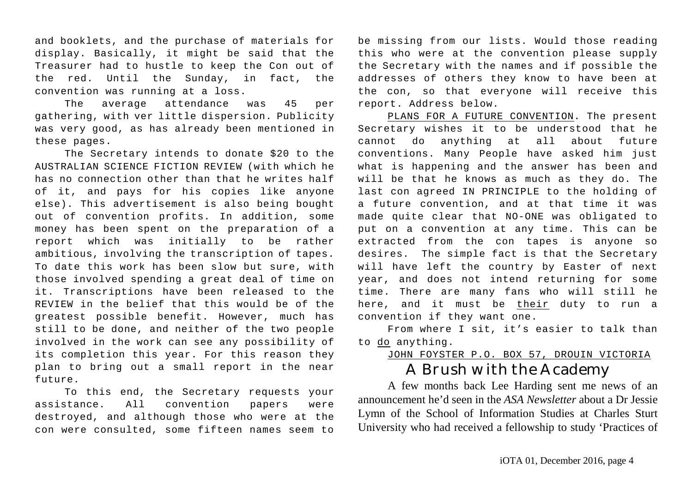and booklets, and the purchase of materials for display. Basically, it might be said that the Treasurer had to hustle to keep the Con out of the red. Until the Sunday, in fact, the convention was running at a loss.

The average attendance was 45 per gathering, with ver little dispersion. Publicity was very good, as has already been mentioned in these pages.

The Secretary intends to donate \$20 to the AUSTRALIAN SCIENCE FICTION REVIEW (with which he has no connection other than that he writes half of it, and pays for his copies like anyone else). This advertisement is also being bought out of convention profits. In addition, some money has been spent on the preparation of a report which was initially to be rather ambitious, involving the transcription of tapes. To date this work has been slow but sure, with those involved spending a great deal of time on it. Transcriptions have been released to the REVIEW in the belief that this would be of the greatest possible benefit. However, much has still to be done, and neither of the two people involved in the work can see any possibility of its completion this year. For this reason they plan to bring out a small report in the near future

To this end, the Secretary requests your assistance. All convention papers were destroyed, and although those who were at the con were consulted, some fifteen names seem to be missing from our lists. Would those reading this who were at the convention please supply the Secretary with the names and if possible the addresses of others they know to have been at the con, so that everyone will receive this report. Address below.

PLANS FOR A FUTURE CONVENTION. The present Secretary wishes it to be understood that he cannot do anything at all about future conventions. Many People have asked him just what is happening and the answer has been and will be that he knows as much as they do. The last con agreed IN PRINCIPLE to the holding of a future convention, and at that time it was made quite clear that NO-ONE was obligated to put on a convention at any time. This can be extracted from the con tapes is anyone so desires. The simple fact is that the Secretary will have left the country by Easter of next year, and does not intend returning for some time. There are many fans who will still he here, and it must be their duty to run a convention if they want one.

From where I sit, it's easier to talk than to do anything.

### JOHN FOYSTER P.O. BOX 57, DROUIN VICTORIA A Brush with the Academy

A few months back Lee Harding sent me news of an announcement he'd seen in the *ASA Newsletter* about a Dr Jessie Lymn of the School of Information Studies at Charles Sturt University who had received a fellowship to study 'Practices of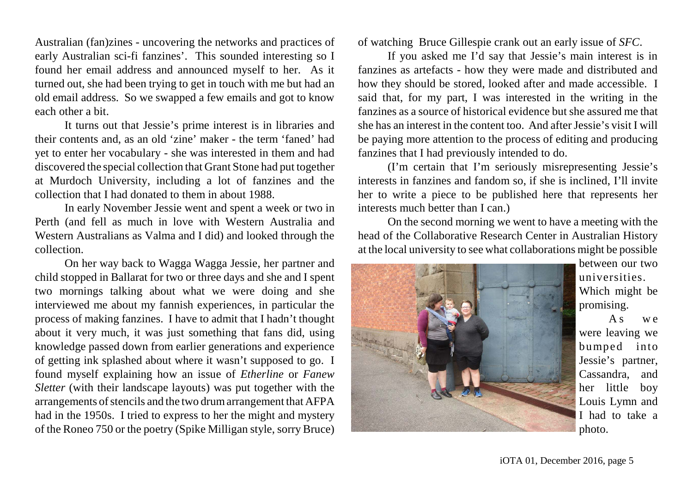Australian (fan)zines - uncovering the networks and practices of early Australian sci-fi fanzines'. This sounded interesting so I found her email address and announced myself to her. As it turned out, she had been trying to get in touch with me but had an old email address. So we swapped a few emails and got to know each other a bit.

It turns out that Jessie's prime interest is in libraries and their contents and, as an old 'zine' maker - the term 'faned' had yet to enter her vocabulary - she was interested in them and had discovered the special collection that Grant Stone had put together at Murdoch University, including a lot of fanzines and the collection that I had donated to them in about 1988.

In early November Jessie went and spent a week or two in Perth (and fell as much in love with Western Australia and Western Australians as Valma and I did) and looked through the collection.

On her way back to Wagga Wagga Jessie, her partner and child stopped in Ballarat for two or three days and she and I spent two mornings talking about what we were doing and she interviewed me about my fannish experiences, in particular the process of making fanzines. I have to admit that I hadn't thought about it very much, it was just something that fans did, using knowledge passed down from earlier generations and experience of getting ink splashed about where it wasn't supposed to go. I found myself explaining how an issue of *Etherline* or *Fanew Sletter* (with their landscape layouts) was put together with the arrangements of stencils and the two drum arrangement that AFPA had in the 1950s. I tried to express to her the might and mystery of the Roneo 750 or the poetry (Spike Milligan style, sorry Bruce)

of watching Bruce Gillespie crank out an early issue of *SFC*.

If you asked me I'd say that Jessie's main interest is in fanzines as artefacts - how they were made and distributed and how they should be stored, looked after and made accessible. I said that, for my part, I was interested in the writing in the fanzines as a source of historical evidence but she assured me that she has an interest in the content too. And after Jessie's visit I will be paying more attention to the process of editing and producing fanzines that I had previously intended to do.

(I'm certain that I'm seriously misrepresenting Jessie's interests in fanzines and fandom so, if she is inclined, I'll invite her to write a piece to be published here that represents her interests much better than I can.)

On the second morning we went to have a meeting with the head of the Collaborative Research Center in Australian History at the local university to see what collaborations might be possible



between our two universities. Which might be promising.

A<sub>s</sub> we were leaving we bumped into Jessie's partner, Cassandra, and her little boy Louis Lymn and I had to take a photo.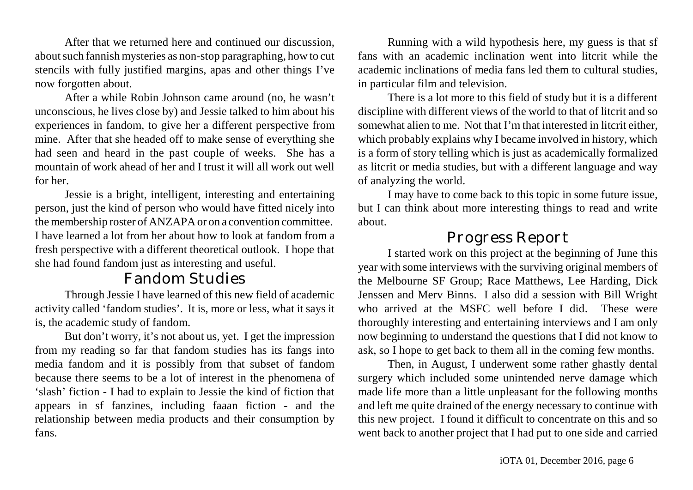After that we returned here and continued our discussion, about such fannish mysteries as non-stop paragraphing, how to cut stencils with fully justified margins, apas and other things I've now forgotten about.

After a while Robin Johnson came around (no, he wasn't unconscious, he lives close by) and Jessie talked to him about his experiences in fandom, to give her a different perspective from mine. After that she headed off to make sense of everything she had seen and heard in the past couple of weeks. She has a mountain of work ahead of her and I trust it will all work out well for her.

Jessie is a bright, intelligent, interesting and entertaining person, just the kind of person who would have fitted nicely into the membership roster of ANZAPA or on a convention committee. I have learned a lot from her about how to look at fandom from a fresh perspective with a different theoretical outlook. I hope that she had found fandom just as interesting and useful.

## Fandom Studies

Through Jessie I have learned of this new field of academic activity called 'fandom studies'. It is, more or less, what it says it is, the academic study of fandom.

But don't worry, it's not about us, yet. I get the impression from my reading so far that fandom studies has its fangs into media fandom and it is possibly from that subset of fandom because there seems to be a lot of interest in the phenomena of 'slash' fiction - I had to explain to Jessie the kind of fiction that appears in sf fanzines, including faaan fiction - and the relationship between media products and their consumption by fans.

Running with a wild hypothesis here, my guess is that sf fans with an academic inclination went into litcrit while the academic inclinations of media fans led them to cultural studies, in particular film and television.

There is a lot more to this field of study but it is a different discipline with different views of the world to that of litcrit and so somewhat alien to me. Not that I'm that interested in litcrit either, which probably explains why I became involved in history, which is a form of story telling which is just as academically formalized as litcrit or media studies, but with a different language and way of analyzing the world.

I may have to come back to this topic in some future issue, but I can think about more interesting things to read and write about.

## Progress Report

I started work on this project at the beginning of June this year with some interviews with the surviving original members of the Melbourne SF Group; Race Matthews, Lee Harding, Dick Jenssen and Merv Binns. I also did a session with Bill Wright who arrived at the MSFC well before I did. These were thoroughly interesting and entertaining interviews and I am only now beginning to understand the questions that I did not know to ask, so I hope to get back to them all in the coming few months.

Then, in August, I underwent some rather ghastly dental surgery which included some unintended nerve damage which made life more than a little unpleasant for the following months and left me quite drained of the energy necessary to continue with this new project. I found it difficult to concentrate on this and so went back to another project that I had put to one side and carried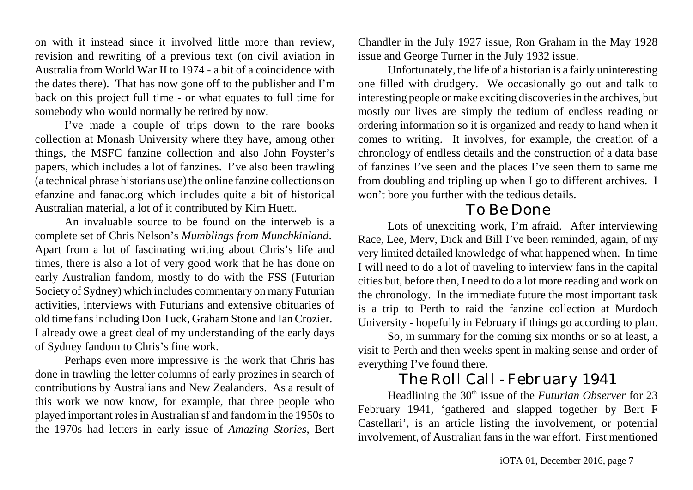on with it instead since it involved little more than review, revision and rewriting of a previous text (on civil aviation in Australia from World War II to 1974 - a bit of a coincidence with the dates there). That has now gone off to the publisher and I'm back on this project full time - or what equates to full time for somebody who would normally be retired by now.

I've made a couple of trips down to the rare books collection at Monash University where they have, among other things, the MSFC fanzine collection and also John Foyster's papers, which includes a lot of fanzines. I've also been trawling (a technical phrase historians use) the online fanzine collections on efanzine and fanac.org which includes quite a bit of historical Australian material, a lot of it contributed by Kim Huett.

An invaluable source to be found on the interweb is a complete set of Chris Nelson's *Mumblings from Munchkinland*. Apart from a lot of fascinating writing about Chris's life and times, there is also a lot of very good work that he has done on early Australian fandom, mostly to do with the FSS (Futurian Society of Sydney) which includes commentary on many Futurian activities, interviews with Futurians and extensive obituaries of old time fans including Don Tuck, Graham Stone and Ian Crozier. I already owe a great deal of my understanding of the early days of Sydney fandom to Chris's fine work.

Perhaps even more impressive is the work that Chris has done in trawling the letter columns of early prozines in search of contributions by Australians and New Zealanders. As a result of this work we now know, for example, that three people who played important roles in Australian sf and fandom in the 1950s to the 1970s had letters in early issue of *Amazing Stories*, Bert

Chandler in the July 1927 issue, Ron Graham in the May 1928 issue and George Turner in the July 1932 issue.

Unfortunately, the life of a historian is a fairly uninteresting one filled with drudgery. We occasionally go out and talk to interesting people ormake exciting discoveriesin the archives, but mostly our lives are simply the tedium of endless reading or ordering information so it is organized and ready to hand when it comes to writing. It involves, for example, the creation of a chronology of endless details and the construction of a data base of fanzines I've seen and the places I've seen them to same me from doubling and tripling up when I go to different archives. I won't bore you further with the tedious details.

## To Be Done

Lots of unexciting work, I'm afraid. After interviewing Race, Lee, Merv, Dick and Bill I've been reminded, again, of my very limited detailed knowledge of what happened when. In time I will need to do a lot of traveling to interview fans in the capital cities but, before then, I need to do a lot more reading and work on the chronology. In the immediate future the most important task is a trip to Perth to raid the fanzine collection at Murdoch University - hopefully in February if things go according to plan.

So, in summary for the coming six months or so at least, a visit to Perth and then weeks spent in making sense and order of everything I've found there.

## The Roll Call - February 1941

Headlining the 30<sup>th</sup> issue of the *Futurian Observer* for 23 February 1941, 'gathered and slapped together by Bert F Castellari', is an article listing the involvement, or potential involvement, of Australian fans in the war effort. First mentioned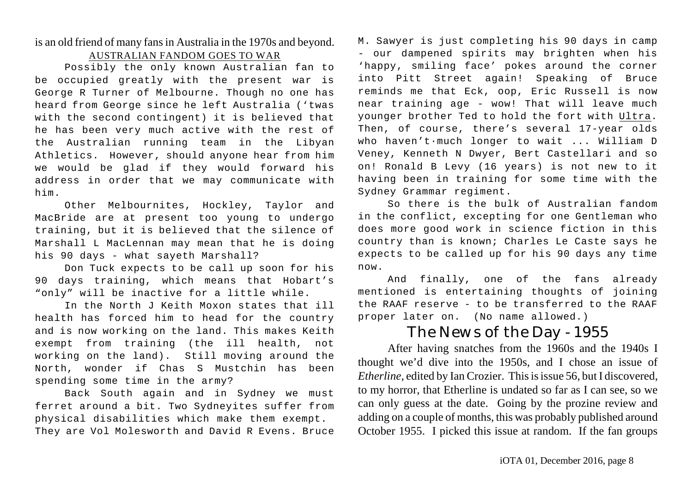#### is an old friend of many fans in Australia in the 1970s and beyond. AUSTRALIAN FANDOM GOES TO WAR

Possibly the only known Australian fan to be occupied greatly with the present war is George R Turner of Melbourne. Though no one has heard from George since he left Australia ('twas with the second contingent) it is believed that he has been very much active with the rest of the Australian running team in the Libyan Athletics. However, should anyone hear from him we would be glad if they would forward his address in order that we may communicate with him.

Other Melbournites, Hockley, Taylor and MacBride are at present too young to undergo training, but it is believed that the silence of Marshall L MacLennan may mean that he is doing his 90 days - what sayeth Marshall?

Don Tuck expects to be call up soon for his 90 days training, which means that Hobart's "only" will be inactive for a little while.

In the North J Keith Moxon states that ill health has forced him to head for the country and is now working on the land. This makes Keith exempt from training (the ill health, not working on the land). Still moving around the North, wonder if Chas S Mustchin has been spending some time in the army?

Back South again and in Sydney we must ferret around a bit. Two Sydneyites suffer from physical disabilities which make them exempt. They are Vol Molesworth and David R Evens. Bruce M. Sawyer is just completing his 90 days in camp - our dampened spirits may brighten when his 'happy, smiling face' pokes around the corner into Pitt Street again! Speaking of Bruce reminds me that Eck, oop, Eric Russell is now near training age - wow! That will leave much younger brother Ted to hold the fort with Ultra. Then, of course, there's several 17-year olds who haven't·much longer to wait ... William D Veney, Kenneth N Dwyer, Bert Castellari and so on! Ronald B Levy (16 years) is not new to it having been in training for some time with the Sydney Grammar regiment.

So there is the bulk of Australian fandom in the conflict, excepting for one Gentleman who does more good work in science fiction in this country than is known; Charles Le Caste says he expects to be called up for his 90 days any time now.

And finally, one of the fans already mentioned is entertaining thoughts of joining the RAAF reserve - to be transferred to the RAAF proper later on. (No name allowed.)

## The News of the Day - 1955

After having snatches from the 1960s and the 1940s I thought we'd dive into the 1950s, and I chose an issue of *Etherline*, edited by Ian Crozier. This is issue 56, but I discovered, to my horror, that Etherline is undated so far as I can see, so we can only guess at the date. Going by the prozine review and adding on a couple of months, this was probably published around October 1955. I picked this issue at random. If the fan groups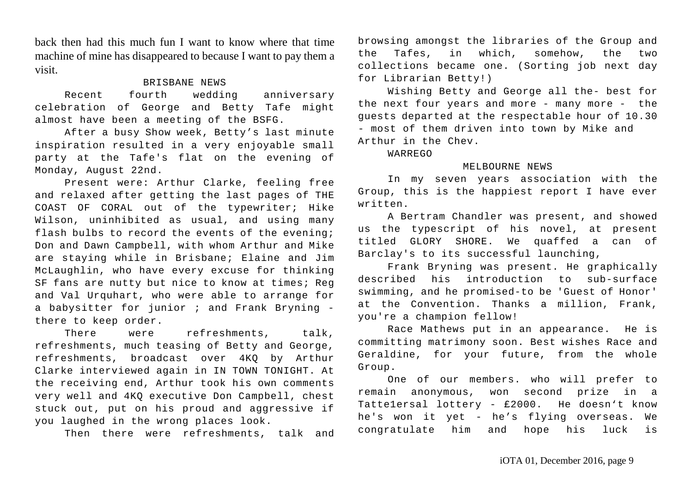back then had this much fun I want to know where that time machine of mine has disappeared to because I want to pay them a visit.

#### BRISBANE NEWS

Recent fourth wedding anniversary celebration of George and Betty Tafe might almost have been a meeting of the BSFG.

After a busy Show week, Betty's last minute inspiration resulted in a very enjoyable small party at the Tafe's flat on the evening of Monday, August 22nd.

Present were: Arthur Clarke, feeling free and relaxed after getting the last pages of THE COAST OF CORAL out of the typewriter; Hike Wilson, uninhibited as usual, and using many flash bulbs to record the events of the evening; Don and Dawn Campbell, with whom Arthur and Mike are staying while in Brisbane; Elaine and Jim McLaughlin, who have every excuse for thinking SF fans are nutty but nice to know at times; Reg and Val Urquhart, who were able to arrange for a babysitter for junior  $i$  and Frank Bryning there to keep order.

There were refreshments, talk, refreshments, much teasing of Betty and George, refreshments, broadcast over 4KQ by Arthur Clarke interviewed again in IN TOWN TONIGHT. At the receiving end, Arthur took his own comments very well and 4KQ executive Don Campbell, chest stuck out, put on his proud and aggressive if you laughed in the wrong places look.

Then there were refreshments, talk and

browsing amongst the libraries of the Group and the Tafes, in which, somehow, the two collections became one. (Sorting job next day for Librarian Betty!)

Wishing Betty and George all the- best for the next four years and more - many more - the guests departed at the respectable hour of 10.30 - most of them driven into town by Mike and Arthur in the Chev.

WARREGO

#### MELBOURNE NEWS

In my seven years association with the Group, this is the happiest report I have ever written.

A Bertram Chandler was present, and showed us the typescript of his novel, at present titled GLORY SHORE. We quaffed a can of Barclay's to its successful launching,

Frank Bryning was present. He graphically described his introduction to sub-surface swimming, and he promised-to be 'Guest of Honor' at the Convention. Thanks a million, Frank, you're a champion fellow!

Race Mathews put in an appearance. He is committing matrimony soon. Best wishes Race and Geraldine, for your future, from the whole Group.

One of our members. who will prefer to remain anonymous, won second prize in a Tatte1ersal lottery - £2000. He doesn't know he's won it yet - he's flying overseas. We congratulate him and hope his luck is